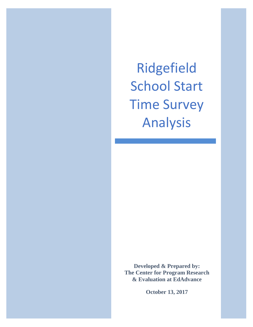Ridgefield School Start Time Survey Analysis

l

**Developed & Prepared by: The Center for Program Research & Evaluation at EdAdvance** 

**October 13, 2017**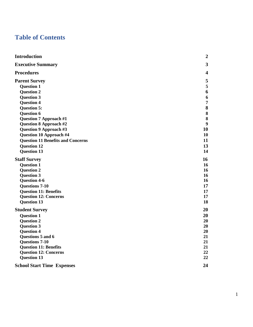# **Table of Contents**

| <b>Introduction</b>                      | $\boldsymbol{2}$        |
|------------------------------------------|-------------------------|
| <b>Executive Summary</b>                 | $\overline{\mathbf{3}}$ |
| <b>Procedures</b>                        | $\overline{\mathbf{4}}$ |
| <b>Parent Survey</b>                     | 5                       |
| <b>Question 1</b>                        | 5                       |
| <b>Question 2</b>                        | 6                       |
| <b>Question 3</b>                        | 6                       |
| <b>Question 4</b>                        | $\overline{7}$          |
| <b>Question 5:</b>                       | 8                       |
| <b>Question 6</b>                        | ${\bf 8}$               |
| <b>Question 7 Approach #1</b>            | $\bf{8}$                |
| <b>Question 8 Approach #2</b>            | 9                       |
| Question 9 Approach #3                   | 10                      |
| <b>Question 10 Approach #4</b>           | 10                      |
| <b>Question 11 Benefits and Concerns</b> | 11                      |
| <b>Question 12</b>                       | 13                      |
| <b>Question 13</b>                       | 14                      |
| <b>Staff Survey</b>                      | 16                      |
| <b>Question 1</b>                        | 16                      |
| <b>Question 2</b>                        | 16                      |
| <b>Question 3</b>                        | 16                      |
| <b>Question 4-6</b>                      | 16                      |
| <b>Questions 7-10</b>                    | 17                      |
| <b>Question 11: Benefits</b>             | 17                      |
| <b>Question 12: Concerns</b>             | 17                      |
| <b>Question 13</b>                       | 18                      |
| <b>Student Survey</b>                    | 20                      |
| <b>Question 1</b>                        | 20                      |
| <b>Question 2</b>                        | 20                      |
| <b>Question 3</b>                        | 20                      |
| <b>Question 4</b>                        | 20                      |
| Questions 5 and 6                        | 21                      |
| <b>Questions 7-10</b>                    | 21                      |
| <b>Question 11: Benefits</b>             | 21                      |
| <b>Question 12: Concerns</b>             | 22                      |
| <b>Question 13</b>                       | 22                      |
| <b>School Start Time Expenses</b>        | 24                      |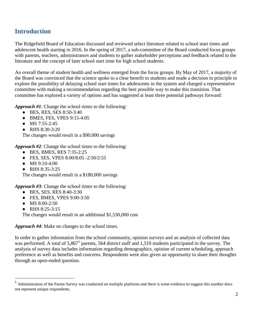# <span id="page-2-0"></span>**Introduction**

The Ridgefield Board of Education discussed and reviewed select literature related to school start times and adolescent health starting in 2016. In the spring of 2017, a sub-committee of the Board conducted focus groups with parents, teachers, administrators and students to gather stakeholder perceptions and feedback related to the literature and the concept of later school start time for high school students.

An overall theme of student health and wellness emerged from the focus groups. By May of 2017, a majority of the Board was convinced that the science spoke to a clear benefit to students and made a decision in principle to explore the possibility of delaying school start times for adolescents in the system and charged a representative committee with making a recommendation regarding the best possible way to make this transition. That committee has explored a variety of options and has suggested at least three potential pathways forward:

*Approach #1*: Change the school times to the following:

- BES, RES, SES 8:50-3:40
- BMES, FES, VPES 9:15-4:05
- MS 7:55-2:45
- RHS 8:30-3:20

The changes would result in a \$90,000 savings

*Approach #2*: Change the school times to the following:

- BES, BMES, RES 7:35-2:25
- FES, SES, VPES 8:00/8:05 -2:50/2:55
- $\bullet$  MS 9:10-4:00
- RHS 8:35-3:25

The changes would result in a \$180,000 savings

*Approach #3*: Change the school times to the following:

- BES, SES, RES 8:40-3:30
- FES, BMES, VPES 9:00-3:50
- MS 8:00-2:50
- RHS 8:25-3:15

 $\overline{a}$ 

The changes would result in an additional \$1,530,000 cost

*Approach #4*: Make no changes to the school times.

In order to gather information from the school community, opinion surveys and an analysis of collected data was performed. A total of 5,867<sup>1</sup> parents, 564 district staff and 1,510 students participated in the survey. The analysis of survey data includes information regarding demographics, opinion of current scheduling, approach preference as well as benefits and concerns. Respondents were also given an opportunity to share their thoughts through an open-ended question.

<sup>1</sup> Administration of the Parent Survey was conducted on multiple platforms and there is some evidence to suggest this number does not represent unique respondents.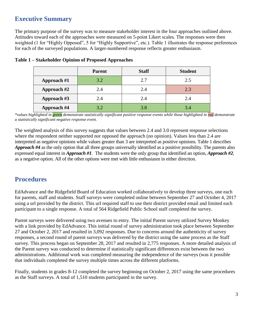# <span id="page-3-0"></span>**Executive Summary**

The primary purpose of the survey was to measure stakeholder interest in the four approaches outlined above. Attitudes toward each of the approaches were measured on 5-point Likert scales. The responses were then weighted (1 for "Highly Opposed", 5 for "Highly Supportive", etc.). Table 1 illustrates the response preferences for each of the surveyed populations. A larger-numbered response reflects greater enthusiasm.

|                    | <b>Parent</b> | <b>Staff</b> | <b>Student</b> |
|--------------------|---------------|--------------|----------------|
| Approach #1        | 3.2           | 2.7          | 2.5            |
| Approach #2        | 2.4           | 2.4          | 2.3            |
| Approach #3        | 2.4           | 2.4          | 2.4            |
| <b>Approach #4</b> | 3.2           | 3.8          | 3.4            |

### **Table 1 – Stakeholder Opinion of Proposed Approaches**

*\*values highlighted in green demonstrate statistically significant positive response events while those highlighted in red demonstrate a statistically significant negative response event.*

The weighted analysis of this survey suggests that values between 2.4 and 3.0 represent response selections where the respondent neither supported nor opposed the approach (no opinion). Values less than 2.4 are interpreted as negative opinions while values greater than 3 are interpreted as positive opinions. Table 1 describes *Approach #4* as the only option that all three groups universally identified as a positive possibility. The parents also expressed equal interest in *Approach #1*. The students were the only group that identified an option, *Approach #2*, as a negative option. All of the other options were met with little enthusiasm in either direction.

# <span id="page-3-1"></span>**Procedures**

EdAdvance and the Ridgefield Board of Education worked collaboratively to develop three surveys, one each for parents, staff and students. Staff surveys were completed online between September 27 and October 4, 2017 using a url provided by the district. This url required staff to use their district provided email and limited each participant to a single response. A total of 564 Ridgefield Public School staff completed the survey.

Parent surveys were delivered using two avenues to entry. The initial Parent survey utilized Survey Monkey with a link provided by EdAdvance. This initial round of survey administration took place between September 27 and October 2, 2017 and resulted in 3,092 responses. Due to concerns around the authenticity of survey responses, a second round of parent surveys was delivered by the district using the same process as the Staff survey. This process began on September 28, 2017 and resulted in 2,775 responses. A more detailed analysis of the Parent survey was conducted to determine if statistically significant differences exist between the two administrations. Additional work was completed measuring the independence of the surveys (was it possible that individuals completed the survey multiple times across the different platforms.

Finally, students in grades 8-12 completed the survey beginning on October 2, 2017 using the same procedures as the Staff surveys. A total of 1,510 students participated in the survey.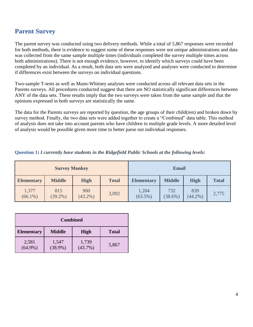# <span id="page-4-0"></span>**Parent Survey**

The parent survey was conducted using two delivery methods. While a total of 5,867 responses were recorded for both methods, there is evidence to suggest some of these responses were not unique administrations and data was collected from the same sample multiple times (individuals completed the survey multiple times across both administrations). There is not enough evidence, however, to identify which surveys could have been completed by an individual. As a result, both data sets were analyzed and analyses were conducted to determine if differences exist between the surveys on individual questions.

Two-sample T-tests as well as Mann-Whitney analyses were conducted across all relevant data sets in the Parents surveys. All procedures conducted suggest that there are NO statistically significant differences between ANY of the data sets. These results imply that the two surveys were taken from the same sample and that the opinions expressed in both surveys are statistically the same.

The data for the Parents surveys are reported by question, the age groups of their child(ren) and broken down by survey method. Finally, the two data sets were added together to create a "Combined" data table. This method of analysis does not take into account parents who have children in multiple grade levels. A more detailed level of analysis would be possible given more time to better parse out individual responses.

| <b>Survey Monkey</b> |                   |                   |              | <b>Email</b>        |                   |                   |              |
|----------------------|-------------------|-------------------|--------------|---------------------|-------------------|-------------------|--------------|
| <b>Elementary</b>    | <b>Middle</b>     | <b>High</b>       | <b>Total</b> | <b>Elementary</b>   | <b>Middle</b>     | <b>High</b>       | <b>Total</b> |
| 1,377<br>$(66.1\%)$  | 815<br>$(39.2\%)$ | 900<br>$(43.2\%)$ | 3,092        | 1,204<br>$(63.5\%)$ | 732<br>$(38.6\%)$ | 839<br>$(44.2\%)$ | 2,775        |

<span id="page-4-1"></span>**Question 1:** *I currently have students in the Ridgefield Public Schools at the following levels:*

| <b>Combined</b>     |                     |                     |              |  |  |  |
|---------------------|---------------------|---------------------|--------------|--|--|--|
| <b>Elementary</b>   | <b>Middle</b>       | High                | <b>Total</b> |  |  |  |
| 2,581<br>$(64.9\%)$ | 1,547<br>$(38.9\%)$ | 1,739<br>$(43.7\%)$ | 5,867        |  |  |  |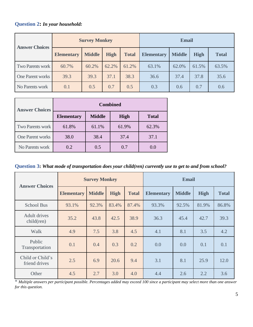# <span id="page-5-0"></span>**Question 2:** *In your household:*

| <b>Answer Choices</b> | <b>Survey Monkey</b> |               |             |              | <b>Email</b>      |               |             |              |
|-----------------------|----------------------|---------------|-------------|--------------|-------------------|---------------|-------------|--------------|
|                       | <b>Elementary</b>    | <b>Middle</b> | <b>High</b> | <b>Total</b> | <b>Elementary</b> | <b>Middle</b> | <b>High</b> | <b>Total</b> |
| Two Parents work      | 60.7%                | 60.2%         | 62.2%       | 61.2%        | 63.1%             | 62.0%         | 61.5%       | 63.5%        |
| One Parent works      | 39.3                 | 39.3          | 37.1        | 38.3         | 36.6              | 37.4          | 37.8        | 35.6         |
| No Parents work       | 0.1                  | 0.5           | 0.7         | 0.5          | 0.3               | 0.6           | 0.7         | 0.6          |

| <b>Answer Choices</b>   | <b>Combined</b>   |               |             |              |  |  |  |  |
|-------------------------|-------------------|---------------|-------------|--------------|--|--|--|--|
|                         | <b>Elementary</b> | <b>Middle</b> | <b>High</b> | <b>Total</b> |  |  |  |  |
| Two Parents work        | 61.8%             | 61.1%         | 61.9%       | 62.3%        |  |  |  |  |
| <b>One Parent works</b> | 38.0              | 38.4          | 37.4        | 37.1         |  |  |  |  |
| No Parents work         | $0.2^{\circ}$     | 0.5           | 0.7         | 0.0          |  |  |  |  |

<span id="page-5-1"></span>**Question 3:** *What mode of transportation does your child(ren) currently use to get to and from school?*

| <b>Answer Choices</b>                | <b>Survey Monkey</b> |               |             |              | <b>Email</b>      |               |             |              |
|--------------------------------------|----------------------|---------------|-------------|--------------|-------------------|---------------|-------------|--------------|
|                                      | <b>Elementary</b>    | <b>Middle</b> | <b>High</b> | <b>Total</b> | <b>Elementary</b> | <b>Middle</b> | <b>High</b> | <b>Total</b> |
| <b>School Bus</b>                    | 93.1%                | 92.3%         | 83.4%       | 87.4%        | 93.3%             | 92.5%         | 81.9%       | 86.8%        |
| <b>Adult drives</b><br>$child$ (ren) | 35.2                 | 43.8          | 42.5        | 38.9         | 36.3              | 45.4          | 42.7        | 39.3         |
| Walk                                 | 4.9                  | 7.5           | 3.8         | 4.5          | 4.1               | 8.1           | 3.5         | 4.2          |
| Public<br>Transportation             | 0.1                  | 0.4           | 0.3         | 0.2          | 0.0               | 0.0           | 0.1         | 0.1          |
| Child or Child's<br>friend drives    | 2.5                  | 6.9           | 20.6        | 9.4          | 3.1               | 8.1           | 25.9        | 12.0         |
| Other                                | 4.5                  | 2.7           | 3.0         | 4.0          | 4.4               | 2.6           | 2.2         | 3.6          |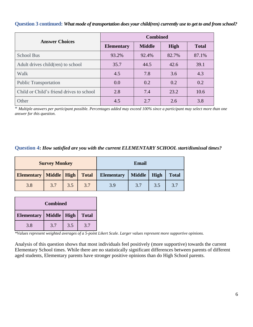#### **Question 3 continued:** *What mode of transportation does your child(ren) currently use to get to and from school?*

| <b>Answer Choices</b>                    | <b>Combined</b>   |               |       |              |  |  |  |
|------------------------------------------|-------------------|---------------|-------|--------------|--|--|--|
|                                          | <b>Elementary</b> | <b>Middle</b> | High  | <b>Total</b> |  |  |  |
| <b>School Bus</b>                        | 93.2%             | 92.4%         | 82.7% | 87.1%        |  |  |  |
| Adult drives child(ren) to school        | 35.7              | 44.5          | 42.6  | 39.1         |  |  |  |
| Walk                                     | 4.5               | 7.8           | 3.6   | 4.3          |  |  |  |
| <b>Public Transportation</b>             | 0.0               | 0.2           | 0.2   | 0.2          |  |  |  |
| Child or Child's friend drives to school | 2.8               | 7.4           | 23.2  | 10.6         |  |  |  |
| Other                                    | 4.5               | 2.7           | 2.6   | 3.8          |  |  |  |

\* *Multiple answers per participant possible. Percentages added may exceed 100% since a participant may select more than one answer for this question.*

#### <span id="page-6-0"></span>**Question 4:** *How satisfied are you with the current ELEMENTARY SCHOOL start/dismissal times?*

| <b>Survey Monkey</b>       |     |     | <b>Email</b> |                   |               |      |              |
|----------------------------|-----|-----|--------------|-------------------|---------------|------|--------------|
| Elementary   Middle   High |     |     | <b>Total</b> | <b>Elementary</b> | <b>Middle</b> | High | <b>Total</b> |
| 3.8                        | 3.7 | 3.5 | 3.7          | 3.9               | 3.7           | 3.5  | 3.7          |

| <b>Combined</b>                                    |     |     |     |  |  |  |  |
|----------------------------------------------------|-----|-----|-----|--|--|--|--|
| Middle   High<br><b>Elementary</b><br><b>Total</b> |     |     |     |  |  |  |  |
| 3.8                                                | 3.7 | 3.5 | 3.7 |  |  |  |  |

*\*Values represent weighted averages of a 5-point Likert Scale. Larger values represent more supportive opinions.*

<span id="page-6-1"></span>Analysis of this question shows that most individuals feel positively (more supportive) towards the current Elementary School times. While there are no statistically significant differences between parents of different aged students, Elementary parents have stronger positive opinions than do High School parents.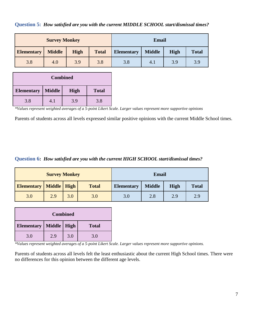**Question 5:** *How satisfied are you with the current MIDDLE SCHOOL start/dismissal times?*

|                   | <b>Survey Monkey</b> |             |              | <b>Email</b>      |               |             |              |
|-------------------|----------------------|-------------|--------------|-------------------|---------------|-------------|--------------|
| <b>Elementary</b> | <b>Middle</b>        | <b>High</b> | <b>Total</b> | <b>Elementary</b> | <b>Middle</b> | <b>High</b> | <b>Total</b> |
| 3.8               | 4.0                  | 3.9         | 3.8          | 3.8               | 4.1           | 3.9         | 3.9          |

| <b>Combined</b>                                            |     |     |     |  |  |  |  |
|------------------------------------------------------------|-----|-----|-----|--|--|--|--|
| <b>Middle</b><br><b>Elementary</b><br><b>Total</b><br>High |     |     |     |  |  |  |  |
| 3.8                                                        | 4.1 | 3.9 | 3.8 |  |  |  |  |

*\*Values represent weighted averages of a 5-point Likert Scale. Larger values represent more supportive opinions*

Parents of students across all levels expressed similar positive opinions with the current Middle School times.

### <span id="page-7-0"></span>**Question 6:** *How satisfied are you with the current HIGH SCHOOL start/dismissal times?*

|                                     | <b>Survey Monkey</b> |     |              |                                    | <b>Email</b> |             |              |
|-------------------------------------|----------------------|-----|--------------|------------------------------------|--------------|-------------|--------------|
| <b>Elementary   Middle   High  </b> |                      |     | <b>Total</b> | <b>Middle</b><br><b>Elementary</b> |              | <b>High</b> | <b>Total</b> |
| 3.0                                 | 2.9                  | 3.0 | 3.0          | 3.0                                | 2.8          | 2.9         | 2.9          |

|                            |     | <b>Combined</b> |              |
|----------------------------|-----|-----------------|--------------|
| Elementary   Middle   High |     |                 | <b>Total</b> |
| 3.0                        | 2.9 | 3.0             | 3.0          |

*\*Values represent weighted averages of a 5-point Likert Scale. Larger values represent more supportive opinions.*

Parents of students across all levels felt the least enthusiastic about the current High School times. There were no differences for this opinion between the different age levels.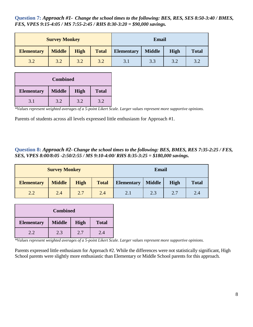<span id="page-8-0"></span>**Question 7:** *Approach #1- Change the school times to the following: BES, RES, SES 8:50-3:40 / BMES, FES, VPES 9:15-4:05 / MS 7:55-2:45 / RHS 8:30-3:20 = \$90,000 savings.*

|                   | <b>Survey Monkey</b> |             |              | <b>Email</b>      |              |     |     |
|-------------------|----------------------|-------------|--------------|-------------------|--------------|-----|-----|
| <b>Elementary</b> | <b>Middle</b>        | <b>High</b> | <b>Total</b> | <b>Elementary</b> | <b>Total</b> |     |     |
| 3.2               | 3.2                  | 3.2         | 3.2          | 3.1               | 3.3          | 3.2 | 3.2 |

| <b>Combined</b>   |                                              |     |     |  |  |  |  |  |
|-------------------|----------------------------------------------|-----|-----|--|--|--|--|--|
| <b>Elementary</b> | <b>Middle</b><br><b>High</b><br><b>Total</b> |     |     |  |  |  |  |  |
| 3.1               | 3.2                                          | 3.2 | 3.2 |  |  |  |  |  |

*\*Values represent weighted averages of a 5-point Likert Scale. Larger values represent more supportive opinions.*

Parents of students across all levels expressed little enthusiasm for Approach #1.

### <span id="page-8-1"></span>**Question 8:** *Approach #2- Change the school times to the following: BES, BMES, RES 7:35-2:25 / FES, SES, VPES 8:00/8:05 -2:50/2:55 / MS 9:10-4:00/ RHS 8:35-3:25 = \$180,000 savings.*

|                   | <b>Survey Monkey</b> |             |              | <b>Email</b>                                      |  |     |              |
|-------------------|----------------------|-------------|--------------|---------------------------------------------------|--|-----|--------------|
| <b>Elementary</b> | <b>Middle</b>        | <b>High</b> | <b>Total</b> | <b>Middle</b><br><b>High</b><br><b>Elementary</b> |  |     | <b>Total</b> |
| 2.2               | 2.4                  | 2.7         | 2.4          | 2.7<br>2.3<br>2.1                                 |  | 2.4 |              |

| <b>Combined</b>   |                                              |     |     |  |  |  |  |
|-------------------|----------------------------------------------|-----|-----|--|--|--|--|
| <b>Elementary</b> | <b>Middle</b><br><b>High</b><br><b>Total</b> |     |     |  |  |  |  |
| 2.2.              | 2.3                                          | 2.7 | 2.4 |  |  |  |  |

*\*Values represent weighted averages of a 5-point Likert Scale. Larger values represent more supportive opinions.*

Parents expressed little enthusiasm for Approach #2. While the differences were not statistically significant, High School parents were slightly more enthusiastic than Elementary or Middle School parents for this approach.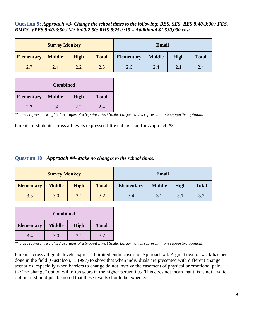<span id="page-9-0"></span>**Question 9:** *Approach #3- Change the school times to the following: BES, SES, RES 8:40-3:30 / FES, BMES, VPES 9:00-3:50 / MS 8:00-2:50/ RHS 8:25-3:15 = Additional \$1,530,000 cost.*

|                   | <b>Survey Monkey</b> |             |              | <b>Email</b>      |              |     |     |
|-------------------|----------------------|-------------|--------------|-------------------|--------------|-----|-----|
| <b>Elementary</b> | <b>Middle</b>        | <b>High</b> | <b>Total</b> | <b>Elementary</b> | <b>Total</b> |     |     |
| 2.7               | 2.4                  | 2.2         | 2.5          | 2.6               | 2.4          | 2.1 | 2.4 |

|                   | <b>Combined</b> |      |              |  |  |  |
|-------------------|-----------------|------|--------------|--|--|--|
| <b>Elementary</b> | <b>Middle</b>   | High | <b>Total</b> |  |  |  |
| 2.7               | 2.4             | 2.2. | 2.4          |  |  |  |

*\*Values represent weighted averages of a 5-point Likert Scale. Larger values represent more supportive opinions.*

Parents of students across all levels expressed little enthusiasm for Approach #3.

#### <span id="page-9-1"></span>**Question 10:** *Approach #4- Make no changes to the school times.*

|                   | <b>Survey Monkey</b> |             |              | <b>Email</b>      |             |              |     |
|-------------------|----------------------|-------------|--------------|-------------------|-------------|--------------|-----|
| <b>Elementary</b> | <b>Middle</b>        | <b>High</b> | <b>Total</b> | <b>Elementary</b> | <b>High</b> | <b>Total</b> |     |
| 3.3               | 3.0                  | 3.1         | 3.2          | 3.4               | 3.1         | 3.1          | 3.2 |

|                   | <b>Combined</b>                              |     |     |  |  |  |  |
|-------------------|----------------------------------------------|-----|-----|--|--|--|--|
| <b>Elementary</b> | <b>Middle</b><br><b>High</b><br><b>Total</b> |     |     |  |  |  |  |
| 3.4               | 3.0                                          | 3.1 | 3.2 |  |  |  |  |

*\*Values represent weighted averages of a 5-point Likert Scale. Larger values represent more supportive opinions.*

Parents across all grade levels expressed limited enthusiasm for Approach #4. A great deal of work has been done in the field (Gustafson, J. 1997) to show that when individuals are presented with different change scenarios, especially when barriers to change do not involve the easement of physical or emotional pain, the "no change" option will often score in the higher percentiles. This does not mean that this is not a valid option, it should just be noted that these results should be expected.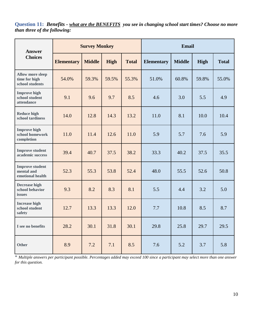<span id="page-10-0"></span>**Question 11:** *Benefits - what are the BENEFITS you see in changing school start times? Choose no more than three of the following:*

| <b>Answer</b>                                               | <b>Survey Monkey</b> |               |       |              | <b>Email</b>      |               |       |              |
|-------------------------------------------------------------|----------------------|---------------|-------|--------------|-------------------|---------------|-------|--------------|
| <b>Choices</b>                                              | <b>Elementary</b>    | <b>Middle</b> | High  | <b>Total</b> | <b>Elementary</b> | <b>Middle</b> | High  | <b>Total</b> |
| <b>Allow more sleep</b><br>time for high<br>school students | 54.0%                | 59.3%         | 59.5% | 55.3%        | 51.0%             | 60.8%         | 59.8% | 55.0%        |
| <b>Improve high</b><br>school student<br>attendance         | 9.1                  | 9.6           | 9.7   | 8.5          | 4.6               | 3.0           | 5.5   | 4.9          |
| <b>Reduce high</b><br>school tardiness                      | 14.0                 | 12.8          | 14.3  | 13.2         | 11.0              | 8.1           | 10.0  | 10.4         |
| <b>Improve high</b><br>school homework<br>completion        | 11.0                 | 11.4          | 12.6  | 11.0         | 5.9               | 5.7           | 7.6   | 5.9          |
| <b>Improve student</b><br>academic success                  | 39.4                 | 40.7          | 37.5  | 38.2         | 33.3              | 40.2          | 37.5  | 35.5         |
| <b>Improve student</b><br>mental and<br>emotional health    | 52.3                 | 55.3          | 53.8  | 52.4         | 48.0              | 55.5          | 52.6  | 50.8         |
| <b>Decrease high</b><br>school behavior<br>issues           | 9.3                  | 8.2           | 8.3   | 8.1          | 5.5               | 4.4           | 3.2   | 5.0          |
| <b>Increase high</b><br>school student<br>safety            | 12.7                 | 13.3          | 13.3  | 12.0         | 7.7               | 10.8          | 8.5   | 8.7          |
| I see no benefits                                           | 28.2                 | 30.1          | 31.8  | 30.1         | 29.8              | 25.8          | 29.7  | 29.5         |
| <b>Other</b>                                                | 8.9                  | 7.2           | 7.1   | 8.5          | 7.6               | 5.2           | 3.7   | 5.8          |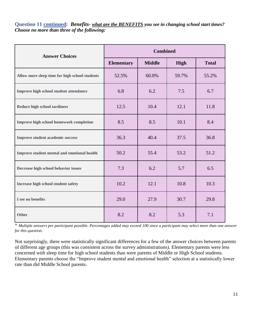**Question 11 continued:** *Benefits- what are the BENEFITS you see in changing school start times? Choose no more than three of the following:*

| <b>Answer Choices</b>                          |                   | <b>Combined</b> |       |              |
|------------------------------------------------|-------------------|-----------------|-------|--------------|
|                                                | <b>Elementary</b> | <b>Middle</b>   | High  | <b>Total</b> |
| Allow more sleep time for high school students | 52.5%             | 60.0%           | 59.7% | 55.2%        |
| Improve high school student attendance         | 6.8               | 6.2             | 7.5   | 6.7          |
| <b>Reduce high school tardiness</b>            | 12.5              | 10.4            | 12.1  | 11.8         |
| Improve high school homework completion        | 8.5               | 8.5             | 10.1  | 8.4          |
| <b>Improve student academic success</b>        | 36.3              | 40.4            | 37.5  | 36.8         |
| Improve student mental and emotional health    | 50.2              | 55.4            | 53.2  | 51.2         |
| Decrease high school behavior issues           | 7.3               | 6.2             | 5.7   | 6.5          |
| Increase high school student safety            | 10.2              | 12.1            | 10.8  | 10.3         |
| I see no benefits                              | 29.0              | 27.9            | 30.7  | 29.8         |
| <b>Other</b>                                   | 8.2               | 8.2             | 5.3   | 7.1          |

\* *Multiple answers per participant possible. Percentages added may exceed 100 since a participant may select more than one answer for this question.*

Not surprisingly, there were statistically significant differences for a few of the answer choices between parents of different age groups (this was consistent across the survey administrations). Elementary parents were less concerned with sleep time for high school students than were parents of Middle or High School students. Elementary parents choose the "Improve student mental and emotional health" selection at a statistically lower rate than did Middle School parents.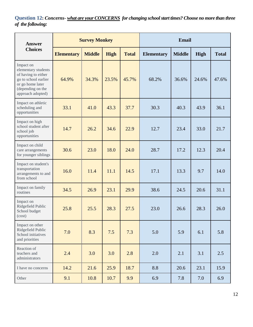<span id="page-12-0"></span>**Question 12:** *Concerns- what are your CONCERNS for changing school start times? Choose no more than three of the following:*

| <b>Answer</b>                                                                                                                                 | <b>Survey Monkey</b> |               |       | <b>Email</b> |                   |               |       |              |
|-----------------------------------------------------------------------------------------------------------------------------------------------|----------------------|---------------|-------|--------------|-------------------|---------------|-------|--------------|
| <b>Choices</b>                                                                                                                                | <b>Elementary</b>    | <b>Middle</b> | High  | <b>Total</b> | <b>Elementary</b> | <b>Middle</b> | High  | <b>Total</b> |
| Impact on<br>elementary students<br>of having to either<br>go to school earlier<br>or go home later<br>(depending on the<br>approach adopted) | 64.9%                | 34.3%         | 23.5% | 45.7%        | 68.2%             | 36.6%         | 24.6% | 47.6%        |
| Impact on athletic<br>scheduling and<br>opportunities                                                                                         | 33.1                 | 41.0          | 43.3  | 37.7         | 30.3              | 40.3          | 43.9  | 36.1         |
| Impact on high<br>school student after<br>school job<br>opportunities                                                                         | 14.7                 | 26.2          | 34.6  | 22.9         | 12.7              | 23.4          | 33.0  | 21.7         |
| Impact on child<br>care arrangements<br>for younger siblings                                                                                  | 30.6                 | 23.0          | 18.0  | 24.0         | 28.7              | 17.2          | 12.3  | 20.4         |
| Impact on student's<br>transportation<br>arrangements to and<br>from school                                                                   | 16.0                 | 11.4          | 11.1  | 14.5         | 17.1              | 13.3          | 9.7   | 14.0         |
| Impact on family<br>routines                                                                                                                  | 34.5                 | 26.9          | 23.1  | 29.9         | 38.6              | 24.5          | 20.6  | 31.1         |
| Impact on<br>Ridgefield Public<br>School budget<br>(cost)                                                                                     | 25.8                 | 25.5          | 28.3  | 27.5         | 23.0              | 26.6          | 28.3  | 26.0         |
| Impact on other<br>Ridgefield Public<br>School initiatives<br>and priorities                                                                  | 7.0                  | 8.3           | 7.5   | 7.3          | 5.0               | 5.9           | 6.1   | 5.8          |
| Reaction of<br>teachers and<br>administrators                                                                                                 | 2.4                  | 3.0           | 3.0   | 2.8          | 2.0               | 2.1           | 3.1   | 2.5          |
| I have no concerns                                                                                                                            | 14.2                 | 21.6          | 25.9  | 18.7         | 8.8               | 20.6          | 23.1  | 15.9         |
| Other                                                                                                                                         | 9.1                  | 10.8          | 10.7  | 9.9          | 6.9               | 7.8           | 7.0   | 6.9          |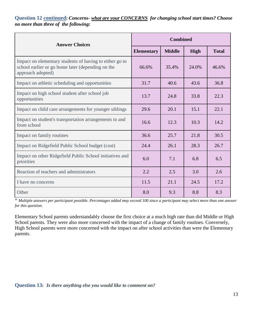# **Question 12 continued:** *Concerns- what are your CONCERNS for changing school start times? Choose no more than three of the following:*

| <b>Answer Choices</b>                                                                                                             | <b>Combined</b>   |               |             |              |
|-----------------------------------------------------------------------------------------------------------------------------------|-------------------|---------------|-------------|--------------|
|                                                                                                                                   | <b>Elementary</b> | <b>Middle</b> | <b>High</b> | <b>Total</b> |
| Impact on elementary students of having to either go to<br>school earlier or go home later (depending on the<br>approach adopted) | 66.6%             | 35.4%         | 24.0%       | 46.6%        |
| Impact on athletic scheduling and opportunities                                                                                   | 31.7              | 40.6          | 43.6        | 36.8         |
| Impact on high school student after school job<br>opportunities                                                                   | 13.7              | 24.8          | 33.8        | 22.3         |
| Impact on child care arrangements for younger siblings                                                                            | 29.6              | 20.1          | 15.1        | 22.1         |
| Impact on student's transportation arrangements to and<br>from school                                                             | 16.6              | 12.3          | 10.3        | 14.2         |
| Impact on family routines                                                                                                         | 36.6              | 25.7          | 21.8        | 30.5         |
| Impact on Ridgefield Public School budget (cost)                                                                                  | 24.4              | 26.1          | 28.3        | 26.7         |
| Impact on other Ridgefield Public School initiatives and<br>priorities                                                            | 6.0               | 7.1           | 6.8         | 6.5          |
| Reaction of teachers and administrators                                                                                           | 2.2               | 2.5           | 3.0         | 2.6          |
| I have no concerns                                                                                                                | 11.5              | 21.1          | 24.5        | 17.2         |
| Other                                                                                                                             | 8.0               | 9.3           | 8.8         | 8.3          |

\* *Multiple answers per participant possible. Percentages added may exceed 100 since a participant may select more than one answer for this question.*

<span id="page-13-0"></span>Elementary School parents understandably choose the first choice at a much high rate than did Middle or High School parents. They were also more concerned with the impact of a change of family routines. Conversely, High School parents were more concerned with the impact on after school activities than were the Elementary parents.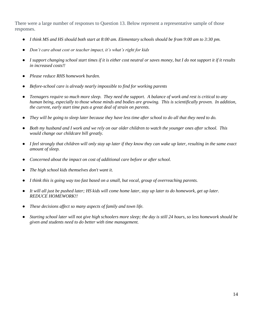There were a large number of responses to Question 13. Below represent a representative sample of those responses.

- *I think MS and HS should both start at 8:00 am. Elementary schools should be from 9:00 am to 3:30 pm.*
- *Don't care about cost or teacher impact, it's what's right for kids*
- *I support changing school start times if it is either cost neutral or saves money, but I do not support it if it results in increased costs!!*
- *Please reduce RHS homework burden.*
- *Before-school care is already nearly impossible to find for working parents*
- *Teenagers require so much more sleep. They need the support. A balance of work and rest is critical to any human being, especially to those whose minds and bodies are growing. This is scientifically proven. In addition, the current, early start time puts a great deal of strain on parents.*
- They will be going to sleep later because they have less time after school to do all that they need to do.
- *Both my husband and I work and we rely on our older children to watch the younger ones after school. This would change our childcare bill greatly.*
- *I feel strongly that children will only stay up later if they know they can wake up later, resulting in the same exact amount of sleep.*
- *Concerned about the impact on cost of additional care before or after school.*
- The high school kids themselves don't want it.
- *I think this is going way too fast based on a small, but vocal, group of overreaching parents.*
- It will all just be pushed later; HS kids will come home later, stay up later to do homework, get up later. *REDUCE HOMEWORK!!*
- *These decisions affect so many aspects of family and town life.*
- Starting school later will not give high schoolers more sleep; the day is still 24 hours, so less homework should be *given and students need to do better with time management.*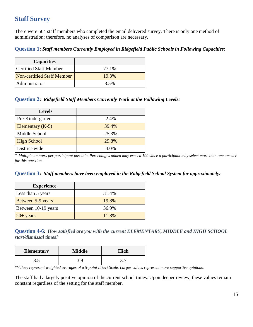# <span id="page-15-0"></span>**Staff Survey**

There were 564 staff members who completed the email delivered survey. There is only one method of administration; therefore, no analyses of comparison are necessary.

## <span id="page-15-1"></span>**Question 1:** *Staff members Currently Employed in Ridgefield Public Schools in Following Capacities:*

| <b>Capacities</b>          |       |
|----------------------------|-------|
| Certified Staff Member     | 77.1% |
| Non-certified Staff Member | 19.3% |
| Administrator              | 3.5%  |

### <span id="page-15-2"></span>**Question 2:** *Ridgefield Staff Members Currently Work at the Following Levels:*

| <b>Levels</b>      |       |
|--------------------|-------|
| Pre-Kindergarten   | 2.4%  |
| Elementary $(K-5)$ | 39.4% |
| Middle School      | 25.3% |
| <b>High School</b> | 29.8% |
| District-wide      | 4.0%  |

\* *Multiple answers per participant possible. Percentages added may exceed 100 since a participant may select more than one answer for this question.*

<span id="page-15-3"></span>

| Question 3: Staff members have been employed in the Ridgefield School System for approximately: |
|-------------------------------------------------------------------------------------------------|
|-------------------------------------------------------------------------------------------------|

| <b>Experience</b>   |       |
|---------------------|-------|
| Less than 5 years   | 31.4% |
| Between 5-9 years   | 19.8% |
| Between 10-19 years | 36.9% |
| $20+$ years         | 11.8% |

<span id="page-15-4"></span>**Question 4-6:** *How satisfied are you with the current ELEMENTARY, MIDDLE and HIGH SCHOOL start/dismissal times?*

| <b>Elementary</b> | Middle | High |
|-------------------|--------|------|
| ں ر               |        | ັ່   |

*\*Values represent weighted averages of a 5-point Likert Scale. Larger values represent more supportive opinions.*

The staff had a largely positive opinion of the current school times. Upon deeper review, these values remain constant regardless of the setting for the staff member.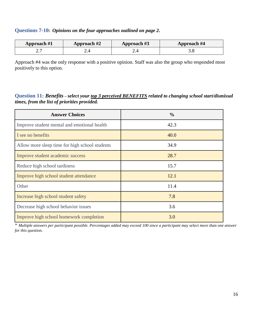# <span id="page-16-0"></span>**Questions 7-10:** *Opinions on the four approaches outlined on page 2.*

| Approach #1 | Approach #2 | Approach #3 | Approach #4 |
|-------------|-------------|-------------|-------------|
|             |             |             |             |

Approach #4 was the only response with a positive opinion. Staff was also the group who responded most positively to this option.

## <span id="page-16-1"></span>**Question 11:** *Benefits – select your top 3 perceived BENEFITS related to changing school start/dismissal times, from the list of priorities provided.*

| <b>Answer Choices</b>                          | $\frac{0}{0}$ |
|------------------------------------------------|---------------|
| Improve student mental and emotional health    | 42.3          |
| I see no benefits                              | 40.0          |
| Allow more sleep time for high school students | 34.9          |
| Improve student academic success               | 28.7          |
| Reduce high school tardiness                   | 15.7          |
| Improve high school student attendance         | 12.1          |
| Other                                          | 11.4          |
| Increase high school student safety            | 7.8           |
| Decrease high school behavior issues           | 3.6           |
| Improve high school homework completion        | 3.0           |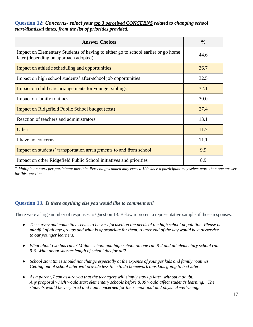### <span id="page-17-0"></span>**Question 12:** *Concerns- select your top 3 perceived CONCERNS related to changing school start/dismissal times, from the list of priorities provided.*

| <b>Answer Choices</b>                                                                                                      | $\frac{0}{0}$ |
|----------------------------------------------------------------------------------------------------------------------------|---------------|
| Impact on Elementary Students of having to either go to school earlier or go home<br>later (depending on approach adopted) | 44.6          |
| Impact on athletic scheduling and opportunities                                                                            | 36.7          |
| Impact on high school students' after-school job opportunities                                                             | 32.5          |
| Impact on child care arrangements for younger siblings                                                                     | 32.1          |
| Impact on family routines                                                                                                  | 30.0          |
| <b>Impact on Ridgefield Public School budget (cost)</b>                                                                    | 27.4          |
| Reaction of teachers and administrators                                                                                    | 13.1          |
| Other                                                                                                                      | 11.7          |
| I have no concerns                                                                                                         | 11.1          |
| Impact on students' transportation arrangements to and from school                                                         | 9.9           |
| Impact on other Ridgefield Public School initiatives and priorities                                                        | 8.9           |

\* *Multiple answers per participant possible. Percentages added may exceed 100 since a participant may select more than one answer for this question.*

### <span id="page-17-1"></span>**Question 13:** *Is there anything else you would like to comment on?*

There were a large number of responses to Question 13. Below represent a representative sample of those responses.

- *The survey and committee seems to be very focused on the needs of the high school population. Please be mindful of all age groups and what is appropriate for them. A later end of the day would be a disservice to our younger learners.*
- *What about two bus runs? Middle school and high school on one run 8-2 and all elementary school run 9-3. What about shorter length of school day for all?*
- *School start times should not change especially at the expense of younger kids and family routines. Getting out of school later will provide less time to do homework thus kids going to bed later.*
- *As a parent, I can assure you that the teenagers will simply stay up later, without a doubt. Any proposal which would start elementary schools before 8:00 would affect student's learning. The students would be very tired and I am concerned for their emotional and physical well-being.*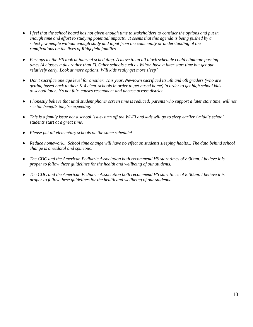- I feel that the school board has not given enough time to stakeholders to consider the options and put in *enough time and effort to studying potential impacts. It seems that this agenda is being pushed by a select few people without enough study and input from the community or understanding of the ramifications on the lives of Ridgefield families.*
- *Perhaps let the HS look at internal scheduling. A move to an all block schedule could eliminate passing times (4 classes a day rather than 7). Other schools such as Wilton have a later start time but get out relatively early. Look at more options. Will kids really get more sleep?*
- *Don't sacrifice one age level for another. This year, Newtown sacrificed its 5th and 6th graders (who are getting bused back to their K-4 elem. schools in order to get bused home) in order to get high school kids to school later. It's not fair, causes resentment and unease across district.*
- *I honestly believe that until student phone/ screen time is reduced; parents who support a later start time, will not see the benefits they're expecting.*
- *This is a family issue not a school issue- turn off the Wi-Fi and kids will go to sleep earlier / middle school students start at a great time.*
- *Please put all elementary schools on the same schedule!*
- Reduce homework... School time change will have no effect on students sleeping habits... The data behind school *change is anecdotal and spurious.*
- *The CDC and the American Pediatric Association both recommend HS start times of 8:30am. I believe it is proper to follow these guidelines for the health and wellbeing of our students.*
- *The CDC and the American Pediatric Association both recommend HS start times of 8:30am. I believe it is proper to follow these guidelines for the health and wellbeing of our students.*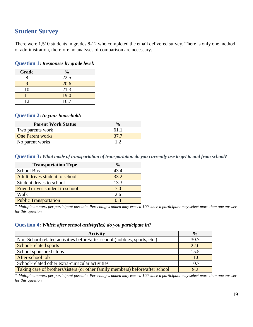# <span id="page-19-0"></span>**Student Survey**

There were 1,510 students in grades 8-12 who completed the email delivered survey. There is only one method of administration, therefore no analyses of comparison are necessary.

<span id="page-19-1"></span>**Question 1:** *Responses by grade level:*

| Grade | $\frac{0}{0}$ |
|-------|---------------|
|       | 22.5          |
|       | 20.6          |
| 10    | 21.3          |
| 11    | 19.0          |
| 12    | 16.7          |

### <span id="page-19-2"></span>**Question 2:** *In your household:*

| <b>Parent Work Status</b> |      |
|---------------------------|------|
| Two parents work          | 61.1 |
| <b>One Parent works</b>   | 37.7 |
| No parent works           |      |

<span id="page-19-3"></span>**Question 3:** *What mode of transportation of transportation do you currently use to get to and from school?*

| <b>Transportation Type</b>      | $\frac{0}{0}$ |
|---------------------------------|---------------|
| <b>School Bus</b>               | 43.4          |
| Adult drives student to school  | 33.2          |
| Student drives to school        | 13.3          |
| Friend drives student to school | 7.0           |
| Walk                            | 2.6           |
| <b>Public Transportation</b>    | 0.3           |

\* *Multiple answers per participant possible. Percentages added may exceed 100 since a participant may select more than one answer for this question.*

#### <span id="page-19-4"></span>**Question 4:** *Which after school activity(ies) do you participate in?*

| <b>Activity</b>                                                               | $\frac{6}{6}$ |
|-------------------------------------------------------------------------------|---------------|
| Non-School related activities before/after school (hobbies, sports, etc.)     | 30.7          |
| School-related sports                                                         | 22.0          |
| School sponsored clubs                                                        | 15.5          |
| After-school job                                                              | 11.0          |
| School-related other extra-curricular activities                              | 10.7          |
| Taking care of brothers/sisters (or other family members) before/after school | 9.2           |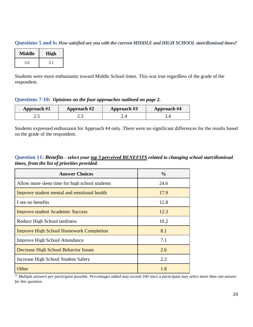<span id="page-20-0"></span>**Questions 5 and 6:** *How satisfied are you with the current MIDDLE and HIGH SCHOOL start/dismissal times?*

| <b>Middle</b> | High |
|---------------|------|
| 3.6           | 3.1  |

Students were more enthusiastic toward Middle School times. This was true regardless of the grade of the respondent.

<span id="page-20-1"></span>**Questions 7-10:** *Opinions on the four approaches outlined on page 2.*

| Approach #1 | Approach #2 | Approach #3 | <b>Approach #4</b> |
|-------------|-------------|-------------|--------------------|
| ر           | ر. ک        |             |                    |

Students expressed enthusiasm for Approach #4 only. There were no significant differences for the results based on the grade of the respondent.

<span id="page-20-2"></span>**Question 11:** *Benefits – select your top 3 perceived BENEFITS related to changing school start/dismissal times, from the list of priorities provided.*

| <b>Answer Choices</b>                          | $\frac{6}{9}$ |
|------------------------------------------------|---------------|
| Allow more sleep time for high school students | 24.6          |
| Improve student mental and emotional health    | 17.9          |
| I see no benefits                              | 12.8          |
| <b>Improve student Academic Success</b>        | 12.3          |
| Reduce High School tardiness                   | 10.2          |
| <b>Improve High School Homework Completion</b> | 8.1           |
| <b>Improve High School Attendance</b>          | 7.1           |
| <b>Decrease High School Behavior Issues</b>    | 2.6           |
| Increase High School Student Safety            | 2.2           |
| Other                                          | 1.8           |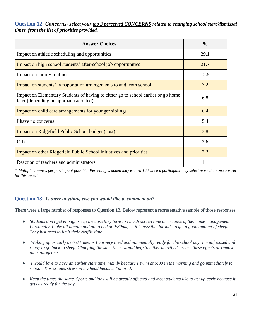### <span id="page-21-0"></span>**Question 12:** *Concerns- select your top 3 perceived CONCERNS related to changing school start/dismissal times, from the list of priorities provided.*

| <b>Answer Choices</b>                                                                                                      | $\frac{0}{0}$ |
|----------------------------------------------------------------------------------------------------------------------------|---------------|
| Impact on athletic scheduling and opportunities                                                                            | 29.1          |
| Impact on high school students' after-school job opportunities                                                             | 21.7          |
| Impact on family routines                                                                                                  | 12.5          |
| Impact on students' transportation arrangements to and from school                                                         | 7.2           |
| Impact on Elementary Students of having to either go to school earlier or go home<br>later (depending on approach adopted) | 6.8           |
| Impact on child care arrangements for younger siblings                                                                     | 6.4           |
| I have no concerns                                                                                                         | 5.4           |
| <b>Impact on Ridgefield Public School budget (cost)</b>                                                                    | 3.8           |
| Other                                                                                                                      | 3.6           |
| Impact on other Ridgefield Public School initiatives and priorities                                                        | 2.2           |
| Reaction of teachers and administrators                                                                                    | 1.1           |

\* *Multiple answers per participant possible. Percentages added may exceed 100 since a participant may select more than one answer for this question.*

### <span id="page-21-1"></span>**Question 13:** *Is there anything else you would like to comment on?*

There were a large number of responses to Question 13. Below represent a representative sample of those responses.

- *Students don't get enough sleep because they have too much screen time or because of their time management. Personally, I take all honors and go to bed at 9:30pm, so it is possible for kids to get a good amount of sleep. They just need to limit their Netflix time.*
- *Waking up as early as 6:00 means I am very tired and not mentally ready for the school day. I'm unfocused and ready to go back to sleep. Changing the start times would help to either heavily decrease these effects or remove them altogether.*
- *I would love to have an earlier start time, mainly because I swim at 5:00 in the morning and go immediately to school. This creates stress in my head because I'm tired.*
- *Keep the times the same. Sports and jobs will be greatly affected and most students like to get up early because it gets us ready for the day.*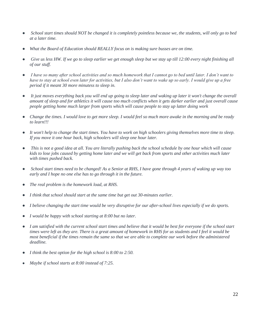- School start times should NOT be changed it is completely pointless because we, the students, will only go to bed *at a later time.*
- What the Board of Education should REALLY focus on is making sure busses are on time.
- Give us less HW. If we go to sleep earlier we get enough sleep but we stay up till 12:00 every night finishing all *of our stuff.*
- I have so many after school activities and so much homework that I cannot go to bed until later. I don't want to *have to stay at school even later for activities, but I also don't want to wake up so early. I would give up a free period if it meant 30 more minutess to sleep in.*
- *It just moves everything back you will end up going to sleep later and waking up later it won't change the overall amount of sleep and for athletics it will cause too much conflicts when it gets darker earlier and just overall cause people getting home much larger from sports which will cause people to stay up latter doing work*
- *Change the times. I would love to get more sleep. I would feel so much more awake in the morning and be ready to learn!!!*
- *It won't help to change the start times. You have to work on high schoolers giving themselves more time to sleep. If you move it one hour back, high schoolers will sleep one hour later.*
- *This is not a good idea at all. You are literally pushing back the school schedule by one hour which will cause kids to lose jobs caused by getting home later and we will get back from sports and other activities much later with times pushed back.*
- *School start times need to be changed! As a Senior at RHS, I have gone through 4 years of waking up way too early and I hope no one else has to go through it in the future.*
- *The real problem is the homework load, at RHS.*
- I think that school should start at the same time but get out 30-minutes earlier.
- *I believe changing the start time would be very disruptive for our after-school lives especially if we do sports.*
- *I would be happy with school starting at 8:00 but no later.*
- *I am satisfied with the current school start times and believe that it would be best for everyone if the school start times were left as they are. There is a great amount of homework in RHS for us students and I feel it would be most beneficial if the times remain the same so that we are able to complete our work before the administered deadline.*
- *I think the best option for the high school is 8:00 to 2:50.*
- *Maybe if school starts at 8:00 instead of 7:25.*